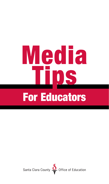# **Media** I IIOS For Educators

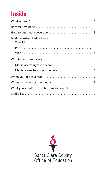## **Inside**

| Media constraints/deadlines:                 |
|----------------------------------------------|
|                                              |
|                                              |
|                                              |
| Working with reporters:                      |
| Media access rights to schools  5            |
| Media access to student records 6            |
|                                              |
|                                              |
| What you should know about media outlets  10 |
|                                              |

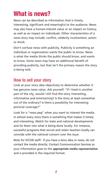## **What is news?**

News can be described as information that is timely, interesting, significant and meaningful to the audience. News may also have a human-interest value or an impact on history, as well as an impact on individuals. Other characteristics of a news story may include: conflict, celebrity involvement, action or shock.

Don't confuse news with publicity. Publicity is something an individual or organization wants the public to know. News is what the media thinks the public should know, and wants to know. Some news may have an additional benefit of providing publicity, but that isn't the primary reason the story is being told.

#### **How to sell your story**

Look at your story idea objectively to determine whether it has genuine news value. Ask yourself: "If I lived in another part of the city, would I still find this story interesting, informative and entertaining? Is the story at least somewhat out of the ordinary? Is there a possibility for interesting pictorial coverage?"

Look for a "news peg" when you want to interest the media. In almost every story there is something that makes it timely and interesting. Watch for state and national developments and tie them into what is being done locally. For instance, successful programs that recruit and retain teachers locally can coincide with the national concern over the issue.

Note for SCCOE staff: If you have a story idea or news, do not contact the media directly. Contact Communication Services so your information goes to the **appropriate media representative** and is provided in the required format.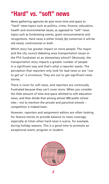## **"Hard" vs. "soft" news**

News gathering agencies do give more time and space to "hard" news topics such as politics, crime, finance, education, health and environmental issues, as opposed to "soft" news topics such as fundraising events, grant announcements and recognitions. Hard news is either timely (by tomorrow it will be old news), controversial or both.

Which story has greater impact on more people: The mayor and the city council debating area transportation issues or the PTA fundraiser at an elementary school? Obviously, the transportation story impacts a greater number of people in a significant way and that's what a reporter wants. The perception that reporters only look for bad news or are "out to get us" is erroneous. They are out to get significant news stories.

There is room for soft news, and reporters are continually frustrated because they can't cover more. When you consider the little amount of time and space allotted to soft education news, and then divide that among almost 400 public school sites – not to mention the private and parochial schools – competition is indeed keen.

However, reporters and assignment editors are often looking for feature stories to provide balance to news coverage, especially at times when hard news is scarce, for example, during holiday seasons. This is a good time to promote an exceptional event, program or student.

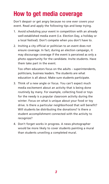# **How to get media coverage**

Don't despair or get angry because no one ever covers your event. Read and apply the following tips and keep trying.

- 1. Avoid scheduling your event in competition with an already well-established media event (i.e. Election Day, a holiday or a local festival). Don't compete when you don't have to.
- 2. Inviting a city official or politician to an event does not ensure coverage. In fact, during an election campaign, it may discourage coverage if the event is perceived as only a photo opportunity for the candidate. Invite students. Have them take part in the event.

Too often educators focus on the adults – superintendents, politicians, business leaders. The students are what education is all about. Make sure students participate.

- 3. Think of a new angle or focus. You can't expect much media excitement about an activity that is being done routinely by many. For example, collecting food or toys for the needy is a popular classroom activity during the winter. Focus on what is unique about your food or toy drive. Is there a particular neighborhood that will benefit? Will students be distributing the donations? Is there a student accomplishment connected with the activity to recognize?
- 4. Don't forget works in progress. A news photographer would be more likely to cover students painting a mural than students unveiling a completed mural.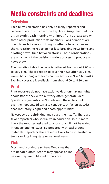# **Media constraints and deadlines**

#### **Television**

Each television station has only so many reporters and camera operators to cover the Bay Area. Assignment editors assign stories each morning with input from at least two or three other production staff members. Considerations are given to such items as putting together a balanced news show, reassigning reporters for late-breaking news items and allotting travel time between stories. These considerations are all a part of the decision-making process to produce a news show.

The majority of daytime news is gathered from about 9:00 a.m. to 2:30 p.m. (The exception to covering news after 2:30 p.m. would be sending a remote van to a site for a "live" telecast.) Evening coverage is available from about 6:00 to 8:30 p.m.

#### **Print**

Print reporters do not have exclusive decision-making rights about stories they write but they often generate ideas. Specific assignments aren't made until the editors mull over their options. Editors also consider such factors as strict deadlines, story length and photo opportunities.

Newspapers are shrinking and so are their staffs. There are fewer reporters who specialize in education, so it is more likely the reporter assigned to your story will not have depth in understanding issues. Be prepared with background materials. Reporters also are more likely to be interested in trends or localizing state or national news.

#### **Web**

Most media outlets also have Web sites that are updated often. Stories may appear online before they are published or broadcast.

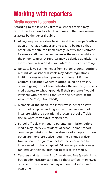# **Working with reporters**

#### **Media access to schools**

According to the laws of California, school officials may restrict media access to school campuses in the same manner as access by the general public.

- 1. Always require reporters to sign in at the principal's office upon arrival at a campus and to wear a badge so that others on the site can immediately identify the "visitors." Be sure a staff member accompanies the reporter while on the school campus. A reporter may be denied admission to a classroom in session if it will interrupt student learning.
- 2. No state laws bar the media from school grounds outright, but individual school districts may adopt regulations limiting access to school property. In June 1996, the California Attorney General's office issued an advisory opinion giving school administrators the authority to deny media access to school grounds if their presence "would interfere with peaceful conduct of the activities of the school." *(A.G. Op. No. 95-509)*
- 3. Members of the media can interview students or staff on school campuses as long as the interview does not interfere with the educational process. School officials decide what constitutes interference.
- 4. School officials may require parental permission before media may interview students at school. Some schools consider permission to be the absence of an opt-out form; others are more pro-active, requiring a signed waiver from a parent or guardian before the student can be interviewed or photographed. Of course, parents always can instruct their children not to talk to the media.
- 5. Teachers and staff have First Amendment Free Speech rights, but an administrator can require that staff be interviewed outside of the educational day and on that individual's own time.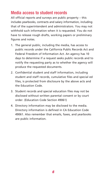#### **Media access to student records**

All official reports and surveys are public property – this includes yearbooks, contracts and salary information, including that of the superintendent and administrators. You may not withhold such information when it is requested. You do not have to release rough drafts, working papers or preliminary figures and notes.

- 1. The general public, including the media, has access to public records under the California Public Records Act and Federal Freedom of Information Act. An agency has 10 days to determine if a request seeks public records and to notify the requesting party as to whether the agency will produce the requested documents.
- 2. Confidential student and staff information, including student and staff records, cumulative files and special ed files, is protected from disclosure by the above acts and the Education Code.
- 3. Student records and special education files may not be disclosed without written parental consent or by court order. (Education Code Section 49061)
- 4. Directory information may be disclosed to the media. Directory information is defined in CA Education Code 49061. Also remember that emails, faxes, and yearbooks are public information.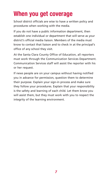## **When you get coverage**

School district officials are wise to have a written policy and procedures when working with the media.

If you do not have a public information department, then establish one individual or department that will serve as your district's official media liaison. Members of the media must know to contact that liaison and to check in at the principal's office of any school they visit.

At the Santa Clara County Office of Education, all reporters must work through the Communication Services Department. Communication Services staff will assist the reporter with his or her request.

If news people are on your campus without having notified you in advance for permission, question them to determine their purpose. Explain your sign-in process and make sure they follow your procedures. Explain that your responsibility is the safety and learning of each child. Let them know you will assist them, but they must work with you to respect the integrity of the learning environment.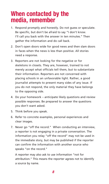## **When contacted by the media, remember**

- 1. Respond promptly and honestly. Do not guess or speculate. Be specific, but don't be afraid to say "I don't know. I'll call you back with the answer in ten minutes." Then gather the information and do call back.
- 2. Don't open doors wide for good news and then slam doors in faces when the news is less than positive. All stories need a response.
- 3. Reporters are not looking for the negative or for skeletons in closets. They are, however, trained to not merely accept what officials tell them, but to substantiate their information. Reporters are not concerned with placing schools in an unfavorable light. Rather, a good journalist attempts to present many sides of any issue. If you do not respond, the only material they have belongs to the opposing side.
- 4. Do your homework anticipate likely questions and review possible responses. Be prepared to answer the questions you don't want asked.
- 5. Think before you speak.
- 6. Refer to concrete examples, personal experiences and clear images.
- 7. Never go "off the record." When conducting an interview, a reporter is not engaging in a private conversation. The information you relay "off the record" may not be used in the immediate story, but may be published if the reporter can confirm the information with another source who speaks "on the record."

A reporter may also ask to use information "not for attribution." This means the reporter agrees not to identify a source by name.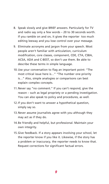- 8. Speak slowly and give BRIEF answers. Particularly for TV and radio say only a few words – 20 to 30 seconds worth. If you ramble on and on, it gives the reporter too much editing leeway and you lose control over your message.
- 9. Eliminate acronyms and jargon from your speech. Most people aren't familiar with articulation, curriculum modification, core classes, component, CDE, CTA, CSBA, ACSA, ADA and C-BEST, so don't use them. Be able to describe these terms in simple language.
- 10. Use your conversation to flag an important point: "The most critical issue here is…" "The number one priority is…" Also, simple analogies or comparisons can best explain complex concepts.
- 11. Never say "no comment." If you can't respond, give the reason – such as legal propriety or a pending investigation. You can also speak to policy and procedures, as well.
- 12. If you don't want to answer a hypothetical question, simply say so.
- 13. Never assume journalists agree with you although they may act as if they do.
- 14. Be friendly and helpful, but professional. Maintain your own integrity.
- 15. Give feedback. If a story appears involving your school, let the reporter know if you like it. Likewise, if the story has a problem or inaccuracy, the reporter needs to know that. Request corrections for significant factual errors.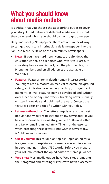## **What you should know about media outlets**

It's critical that you choose the appropriate outlet to cover your story. Listed below are different media outlets, what they cover and whom you should contact to get coverage.

Daily and weekly Newspapers: There are a number of ways to can get your story in print via a daily newspaper like the San Jose Mercury News or the community newspapers.

- **News:** If you have hard news, contact the city desk, the education editor, or a reporter who covers your area. If your story has a visual impact, call the photo editor, too. Phone numbers and email addresses are available on Web sites.
- **Features:** Features are in-depth human interest stories. You might read a feature on medical research, playground safety, an individual overcoming hardship, or significant moments in lives. Features may be developed and written over a period of days and weeks; breaking news is usually written in one day and published the next. Contact the features editor or a specific writer with your idea.
- **Letters-to-the-editor:** The letters page is one of the most popular and widely read sections of any newspaper. If you have a response to a news story, write a 100-word letter and fax or email it immediately. Time is of the essence when preparing these letters since what is news today, is "old" news tomorrow.
- **Guest Column:** This column or "op-ed" (opinion editorial) is a great way to explain your cause or concern in a more in-depth manner – about 750 words. Before you prepare your column, contact the op-ed editor for some guidance.
- **Web sites:** Most media outlets have Web sites promoting their programs and assisting visitors with news placement.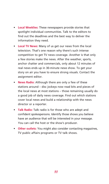- **Local Weeklies:** These newspapers provide stories that spotlight individual communities. Talk to the editors to find out the deadlines and the best way to deliver the information they need.
- **Local TV News:** Many of us get our news from the local television. That's one reason why there's such intense competition to get TV news coverage. Another is that only a few stories make the news. After the weather, sports, anchor chatter and commercials, only about 12 minutes of real news ends up in 30-minute news show. To get your story on air you have to ensure strong visuals. Contact the assignment editor.
- **News Radio:** Although there are only a few of these stations around – disc jockeys now read bits and pieces of the local news at most stations – those remaining usually do a good job of daily news coverage. Find out which stations cover local news and build a relationship with the news director or a reporter.
- **Talk Radio:** Talk radio is for those who are adept and confident spokespersons. Identify those shows you believe have an audience that will be interested in your message. You can call the host or the show's producer.
- **Other outlets:** You might also consider contacting magazines, TV public affairs programs or TV talk shows.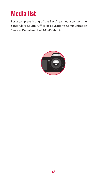## **Media list**

For a complete listing of the Bay Area media contact the Santa Clara County Office of Education's Communication Services Department at 408-453-6514.

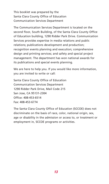This booklet was prepared by the Santa Clara County Office of Education Communication Services Department

The Communication Services Department is located on the second floor, South Building, of the Santa Clara County Office of Education building, 1290 Ridder Park Drive. Communication Services provides expertise in media relations and public relations; publications development and production; recognition events planning and execution; comprehensive design and printing services; and safety and special project management. The department has won national awards for its publications and special events planning.

We are here to help you. If you would like more information, you are invited to write or call:

Santa Clara County Office of Education Communication Services Department 1290 Ridder Park Drive, Mail Code 215 San Jose, CA 95131-2304 Office: 408-453-6514 Fax: 408-453-6774

The Santa Clara County Office of Education (SCCOE) does not discriminate on the basis of race, color, national origin, sex, age or disability in the admission or access to, or treatment or employment in, SCCOE programs or activities.